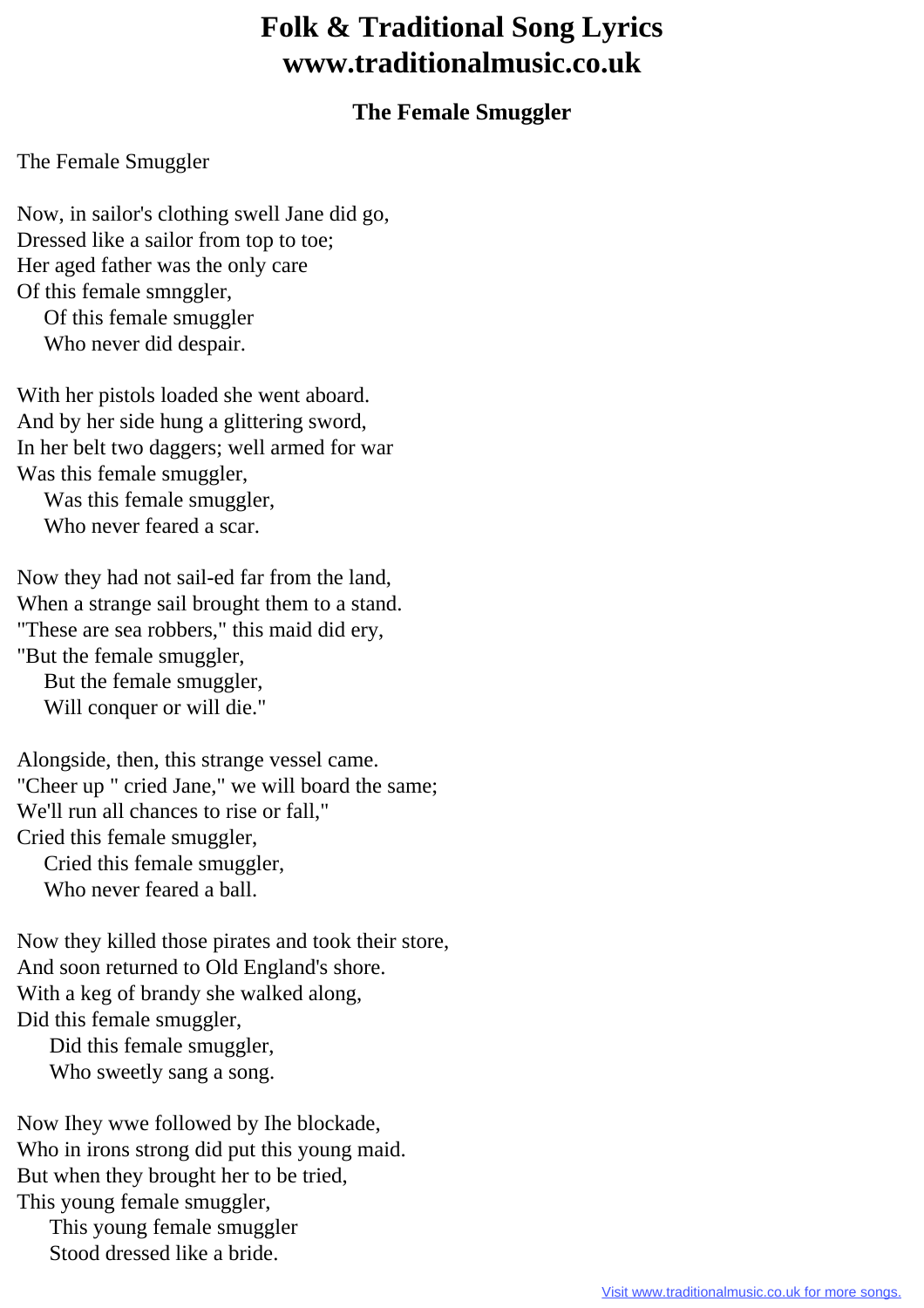## **Folk & Traditional Song Lyrics www.traditionalmusic.co.uk**

## **The Female Smuggler**

## The Female Smuggler

Now, in sailor's clothing swell Jane did go, Dressed like a sailor from top to toe; Her aged father was the only care Of this female smnggler, Of this female smuggler

Who never did despair.

With her pistols loaded she went aboard. And by her side hung a glittering sword, In her belt two daggers; well armed for war Was this female smuggler,

 Was this female smuggler, Who never feared a scar.

Now they had not sail-ed far from the land, When a strange sail brought them to a stand. "These are sea robbers," this maid did ery, "But the female smuggler,

 But the female smuggler, Will conquer or will die."

Alongside, then, this strange vessel came. "Cheer up " cried Jane," we will board the same; We'll run all chances to rise or fall," Cried this female smuggler,

 Cried this female smuggler, Who never feared a ball.

Now they killed those pirates and took their store, And soon returned to Old England's shore. With a keg of brandy she walked along, Did this female smuggler,

 Did this female smuggler, Who sweetly sang a song.

Now Ihey wwe followed by Ihe blockade, Who in irons strong did put this young maid. But when they brought her to be tried, This young female smuggler,

 This young female smuggler Stood dressed like a bride.